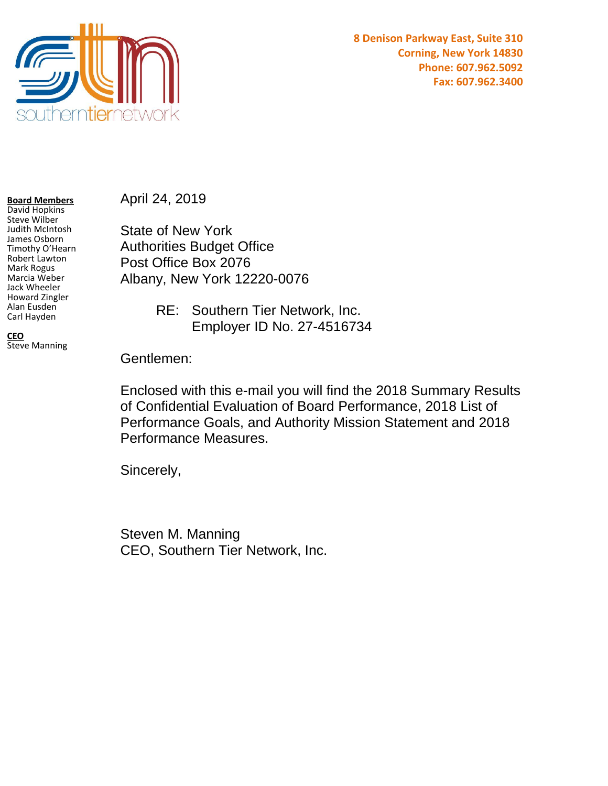

**8 Denison Parkway East, Suite 310 Corning, New York 14830 Phone: 607.962.5092 Fax: 607.962.3400**

**Board Members**

David Hopkins Steve Wilber Judith McIntosh James Osborn Timothy O'Hearn Robert Lawton Mark Rogus Marcia Weber Jack Wheeler Howard Zingler Alan Eusden Carl Hayden

Steve Manning

**CEO**

April 24, 2019

State of New York Authorities Budget Office Post Office Box 2076 Albany, New York 12220-0076

> RE: Southern Tier Network, Inc. Employer ID No. 27-4516734

Gentlemen:

Enclosed with this e-mail you will find the 2018 Summary Results of Confidential Evaluation of Board Performance, 2018 List of Performance Goals, and Authority Mission Statement and 2018 Performance Measures.

Sincerely,

Steven M. Manning CEO, Southern Tier Network, Inc.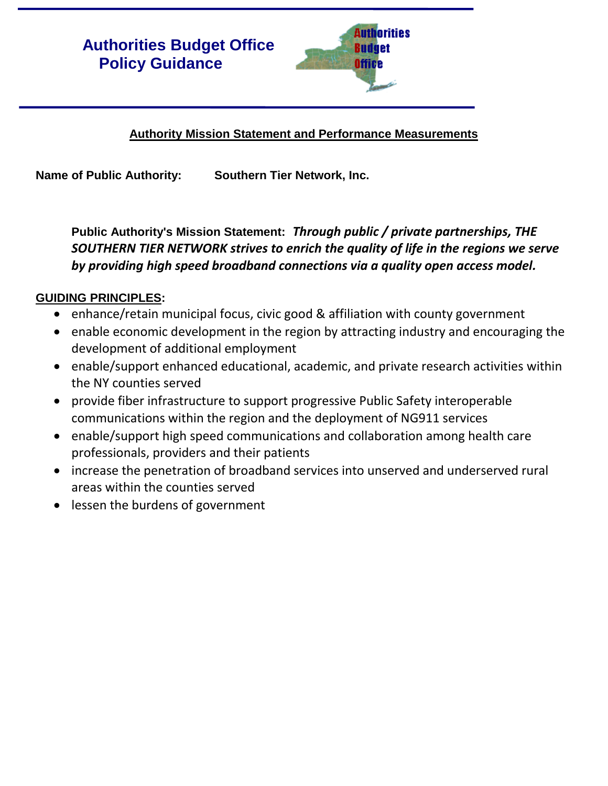# **Authorities Budget Office Policy Guidance**



## **Authority Mission Statement and Performance Measurements**

**Name of Public Authority: Southern Tier Network, Inc.**

**Public Authority's Mission Statement:** *Through public / private partnerships, THE SOUTHERN TIER NETWORK strives to enrich the quality of life in the regions we serve by providing high speed broadband connections via a quality open access model.* 

### **GUIDING PRINCIPLES:**

- enhance/retain municipal focus, civic good & affiliation with county government
- enable economic development in the region by attracting industry and encouraging the development of additional employment
- enable/support enhanced educational, academic, and private research activities within the NY counties served
- provide fiber infrastructure to support progressive Public Safety interoperable communications within the region and the deployment of NG911 services
- enable/support high speed communications and collaboration among health care professionals, providers and their patients
- increase the penetration of broadband services into unserved and underserved rural areas within the counties served
- lessen the burdens of government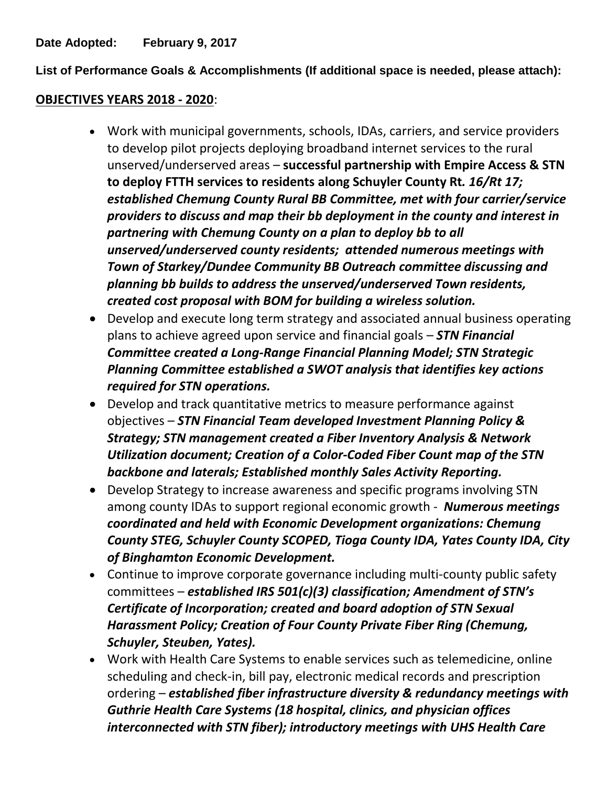**Date Adopted: February 9, 2017**

**List of Performance Goals & Accomplishments (If additional space is needed, please attach):**

#### **OBJECTIVES YEARS 2018 - 2020**:

- Work with municipal governments, schools, IDAs, carriers, and service providers to develop pilot projects deploying broadband internet services to the rural unserved/underserved areas – **successful partnership with Empire Access & STN to deploy FTTH services to residents along Schuyler County Rt***. 16/Rt 17; established Chemung County Rural BB Committee, met with four carrier/service providers to discuss and map their bb deployment in the county and interest in partnering with Chemung County on a plan to deploy bb to all unserved/underserved county residents; attended numerous meetings with Town of Starkey/Dundee Community BB Outreach committee discussing and planning bb builds to address the unserved/underserved Town residents, created cost proposal with BOM for building a wireless solution.*
- Develop and execute long term strategy and associated annual business operating plans to achieve agreed upon service and financial goals – *STN Financial Committee created a Long-Range Financial Planning Model; STN Strategic Planning Committee established a SWOT analysis that identifies key actions required for STN operations.*
- Develop and track quantitative metrics to measure performance against objectives – *STN Financial Team developed Investment Planning Policy & Strategy; STN management created a Fiber Inventory Analysis & Network Utilization document; Creation of a Color-Coded Fiber Count map of the STN backbone and laterals; Established monthly Sales Activity Reporting.*
- Develop Strategy to increase awareness and specific programs involving STN among county IDAs to support regional economic growth - *Numerous meetings coordinated and held with Economic Development organizations: Chemung County STEG, Schuyler County SCOPED, Tioga County IDA, Yates County IDA, City of Binghamton Economic Development.*
- Continue to improve corporate governance including multi-county public safety committees – *established IRS 501(c)(3) classification; Amendment of STN's Certificate of Incorporation; created and board adoption of STN Sexual Harassment Policy; Creation of Four County Private Fiber Ring (Chemung, Schuyler, Steuben, Yates).*
- Work with Health Care Systems to enable services such as telemedicine, online scheduling and check-in, bill pay, electronic medical records and prescription ordering – *established fiber infrastructure diversity & redundancy meetings with Guthrie Health Care Systems (18 hospital, clinics, and physician offices interconnected with STN fiber); introductory meetings with UHS Health Care*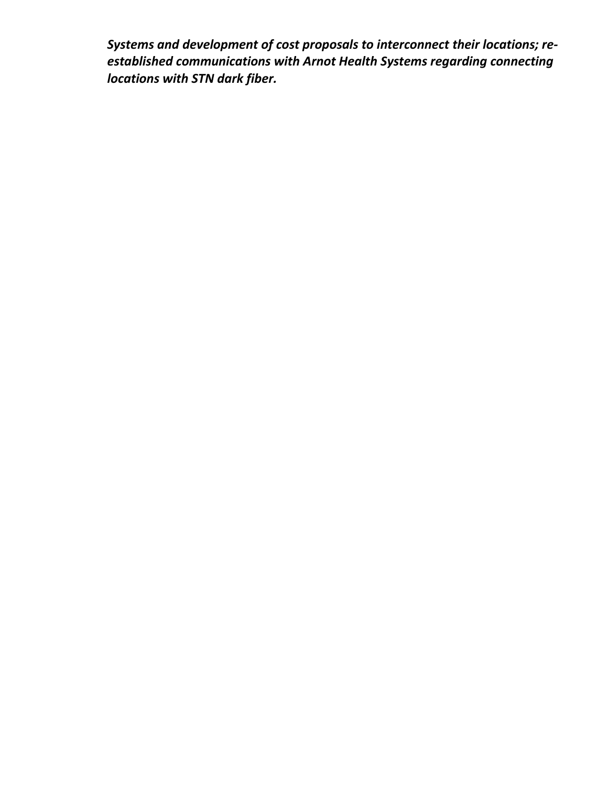*Systems and development of cost proposals to interconnect their locations; reestablished communications with Arnot Health Systems regarding connecting locations with STN dark fiber.*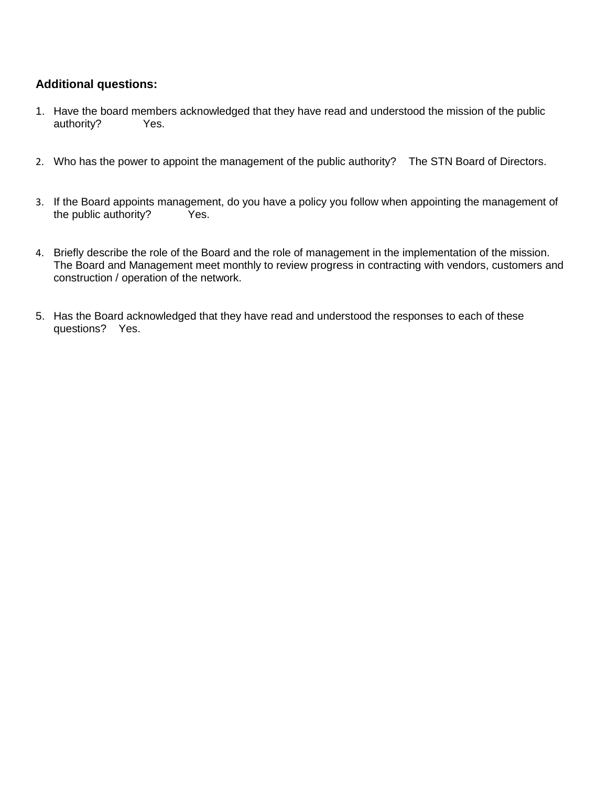#### **Additional questions:**

- 1. Have the board members acknowledged that they have read and understood the mission of the public authority? Yes.
- 2. Who has the power to appoint the management of the public authority? The STN Board of Directors.
- 3. If the Board appoints management, do you have a policy you follow when appointing the management of the public authority? Yes. the public authority?
- 4. Briefly describe the role of the Board and the role of management in the implementation of the mission. The Board and Management meet monthly to review progress in contracting with vendors, customers and construction / operation of the network.
- 5. Has the Board acknowledged that they have read and understood the responses to each of these questions? Yes.